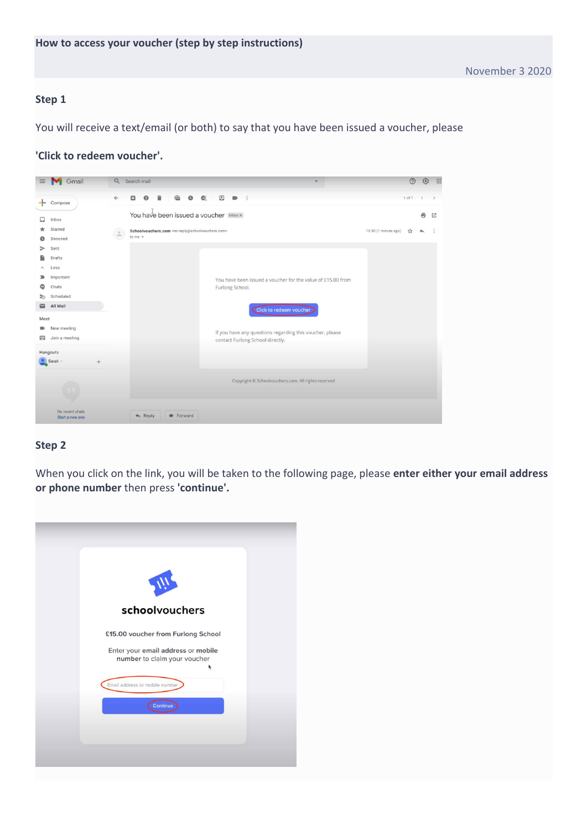You will receive a text/email (or both) to say that you have been issued a voucher, please

#### **'Click to redeem voucher'.**

| $\equiv$               | Gmail                              | Q                               | Search mail                                                                                                                             | ②          | తి      | <b>!!!</b>    |
|------------------------|------------------------------------|---------------------------------|-----------------------------------------------------------------------------------------------------------------------------------------|------------|---------|---------------|
|                        | Compose                            | $\leftarrow$                    | $Q'_{+}$<br>$\begin{array}{c} \hline \Xi \end{array}$<br>q<br>$\blacksquare$<br>а<br>0<br>$\bullet$                                     | $1$ of $1$ | $\prec$ | $\rightarrow$ |
|                        | Inbox                              |                                 | You have been issued a voucher Inbox x                                                                                                  |            | 壺       | 凸             |
|                        | Starred<br>Snoozed                 | $\stackrel{\circ}{\mathcal{M}}$ | Schoolvouchers.com <no-reply@schoolvouchers.com><br/>15:30 (1 minute ago)<br/>to me <math>\sqrt{*}</math></no-reply@schoolvouchers.com> |            |         |               |
|                        | Sent<br>Drafts                     |                                 |                                                                                                                                         |            |         |               |
| $\hat{\phantom{a}}$    | Less                               |                                 |                                                                                                                                         |            |         |               |
| ∍<br>യ                 | Important<br>Chats                 |                                 | You have been issued a voucher for the value of £15,00 from<br>Furlong School.                                                          |            |         |               |
| ৯<br>M                 | Scheduled<br>All Mail              |                                 | Click to redeem voucher                                                                                                                 |            |         |               |
| Meet<br>$\blacksquare$ | New meeting                        |                                 |                                                                                                                                         |            |         |               |
| 曲                      | Join a meeting                     |                                 | If you have any questions regarding this voucher, please<br>contact Furlong School directly.                                            |            |         |               |
|                        | Hangouts<br>Sarah -                |                                 |                                                                                                                                         |            |         |               |
|                        |                                    |                                 |                                                                                                                                         |            |         |               |
|                        |                                    |                                 | Copyright © Schoolvouchers.com. All rights reserved                                                                                     |            |         |               |
|                        | No recent chats<br>Start a new one |                                 | $\triangle$ Reply<br><b>D</b> Forward                                                                                                   |            |         |               |

#### **Step 2**

When you click on the link, you will be taken to the following page, please **enter either your email address or phone number** then press **'continue'.**

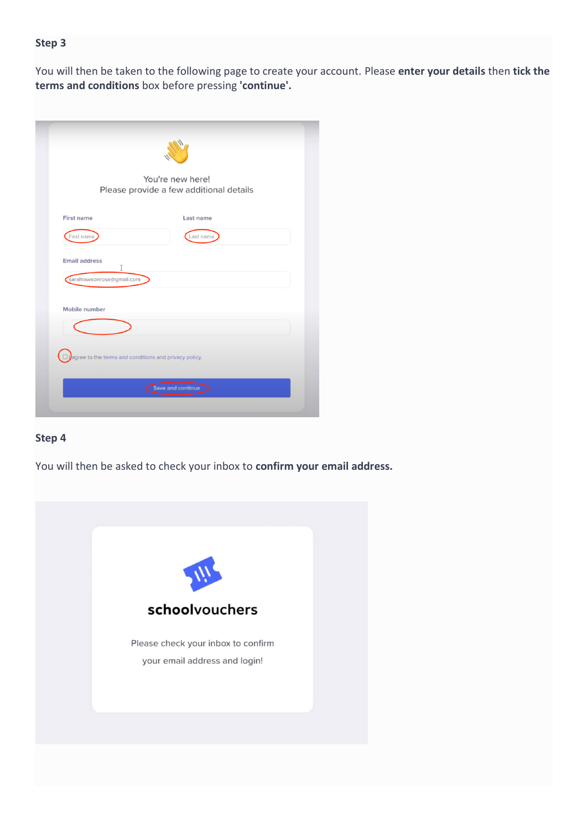You will then be taken to the following page to create your account. Please **enter your details** then **tick the terms and conditions** box before pressing **'continue'.**

| You're new here!<br>Please provide a few additional details |                                                       |  |  |  |
|-------------------------------------------------------------|-------------------------------------------------------|--|--|--|
| <b>First name</b>                                           | Last name                                             |  |  |  |
| First name                                                  | Last name                                             |  |  |  |
| sarahlawsonrose@gmail.com<br>Mobile number                  |                                                       |  |  |  |
|                                                             |                                                       |  |  |  |
|                                                             | agree to the terms and conditions and privacy policy. |  |  |  |

## **Step 4**

You will then be asked to check your inbox to **confirm your email address.**

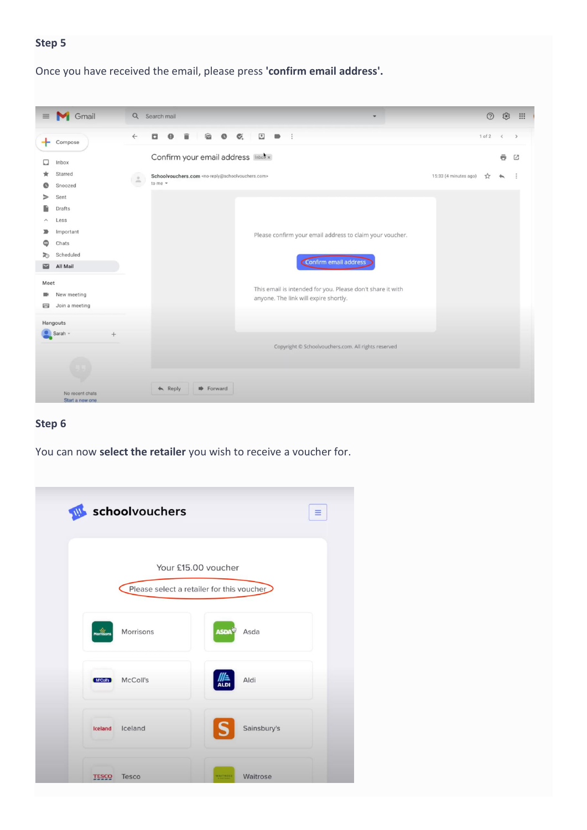Once you have received the email, please press **'confirm email address'.**



### **Step 6**

You can now **select the retailer** you wish to receive a voucher for.

| W            | schoolvouchers                            |                         |             | $\equiv$ |
|--------------|-------------------------------------------|-------------------------|-------------|----------|
|              | Please select a retailer for this voucher | Your £15.00 voucher     |             |          |
| Morrisons    | Morrisons                                 | <b>ASDA<sup>V</sup></b> | Asda        |          |
| (M'Coll's)   | McColl's                                  | <b>ALDI</b>             | Aldi        |          |
| Iceland      | Iceland                                   |                         | Sainsbury's |          |
| <b>TESCO</b> | Tesco                                     | WAITROST                | Waitrose    |          |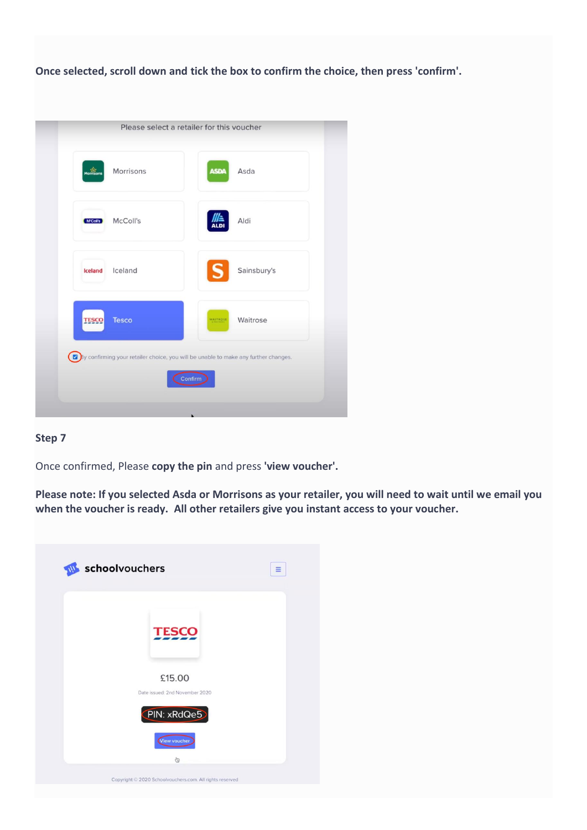**Once selected, scroll down and tick the box to confirm the choice, then press 'confirm'.**

|              |              | Please select a retailer for this voucher                                                      |
|--------------|--------------|------------------------------------------------------------------------------------------------|
| Morrisons    | Morrisons    | Asda<br><b>ASDA</b>                                                                            |
| M'Coll's     | McColl's     | Aldi<br><b>ALDI</b>                                                                            |
| Iceland      | Iceland      | Sainsbury's                                                                                    |
| <b>TESCO</b> | <b>Tesco</b> | Waitrose<br><b>WAITROSE</b>                                                                    |
|              |              | By confirming your retailer choice, you will be unable to make any further changes.<br>Confirm |

# **Step 7**

Once confirmed, Please **copy the pin** and press **'view voucher'.**

**Please note: If you selected Asda or Morrisons as your retailer, you will need to wait until we email you when the voucher is ready. All other retailers give you instant access to your voucher.**